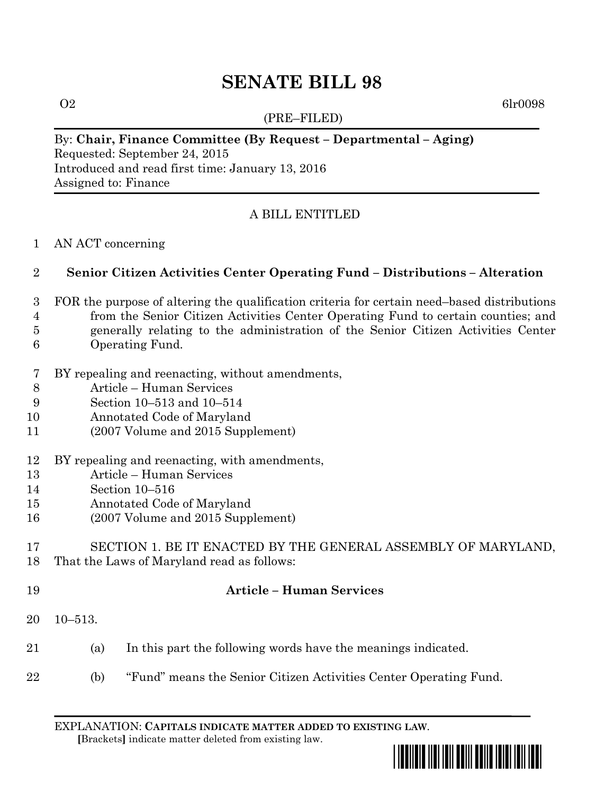# **SENATE BILL 98**

(PRE–FILED)

 $\Omega$  6lr0098

## By: **Chair, Finance Committee (By Request – Departmental – Aging)**

Requested: September 24, 2015 Introduced and read first time: January 13, 2016 Assigned to: Finance

# A BILL ENTITLED

AN ACT concerning

# **Senior Citizen Activities Center Operating Fund – Distributions – Alteration**

- FOR the purpose of altering the qualification criteria for certain need–based distributions
- from the Senior Citizen Activities Center Operating Fund to certain counties; and
- generally relating to the administration of the Senior Citizen Activities Center
- Operating Fund.
- BY repealing and reenacting, without amendments,
- Article Human Services
- Section 10–513 and 10–514
- Annotated Code of Maryland
- (2007 Volume and 2015 Supplement)
- BY repealing and reenacting, with amendments,
- Article Human Services
- Section 10–516
- Annotated Code of Maryland
- (2007 Volume and 2015 Supplement)

### SECTION 1. BE IT ENACTED BY THE GENERAL ASSEMBLY OF MARYLAND, That the Laws of Maryland read as follows:

- **Article – Human Services**
- 10–513.
- (a) In this part the following words have the meanings indicated.
- (b) "Fund" means the Senior Citizen Activities Center Operating Fund.

EXPLANATION: **CAPITALS INDICATE MATTER ADDED TO EXISTING LAW**.  **[**Brackets**]** indicate matter deleted from existing law.

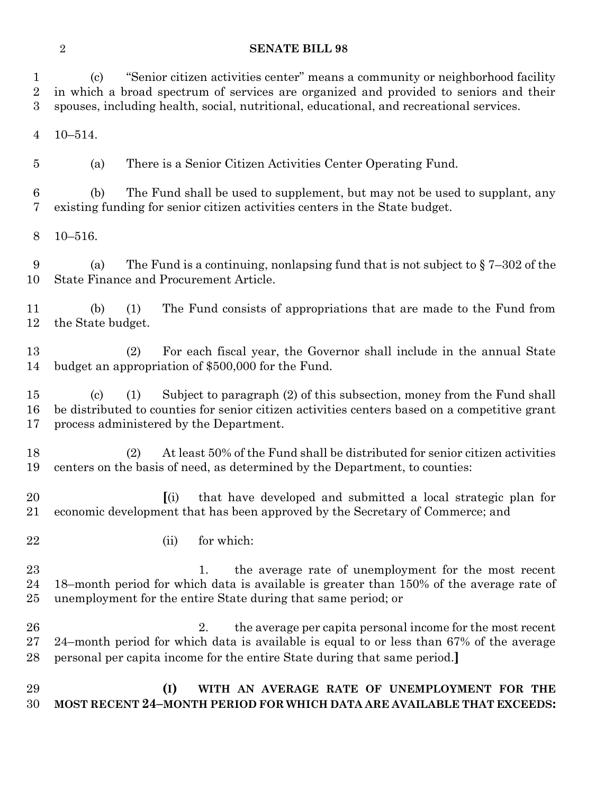#### **SENATE BILL 98**

 (c) "Senior citizen activities center" means a community or neighborhood facility in which a broad spectrum of services are organized and provided to seniors and their spouses, including health, social, nutritional, educational, and recreational services.

10–514.

(a) There is a Senior Citizen Activities Center Operating Fund.

 (b) The Fund shall be used to supplement, but may not be used to supplant, any existing funding for senior citizen activities centers in the State budget.

10–516.

9 (a) The Fund is a continuing, nonlapsing fund that is not subject to  $\frac{87-302}{2}$  of the State Finance and Procurement Article.

 (b) (1) The Fund consists of appropriations that are made to the Fund from the State budget.

 (2) For each fiscal year, the Governor shall include in the annual State budget an appropriation of \$500,000 for the Fund.

 (c) (1) Subject to paragraph (2) of this subsection, money from the Fund shall be distributed to counties for senior citizen activities centers based on a competitive grant process administered by the Department.

 (2) At least 50% of the Fund shall be distributed for senior citizen activities centers on the basis of need, as determined by the Department, to counties:

 **[**(i) that have developed and submitted a local strategic plan for economic development that has been approved by the Secretary of Commerce; and

22 (ii) for which:

23 1. the average rate of unemployment for the most recent 18–month period for which data is available is greater than 150% of the average rate of unemployment for the entire State during that same period; or

 2. the average per capita personal income for the most recent 24–month period for which data is available is equal to or less than 67% of the average personal per capita income for the entire State during that same period.**]**

 **(I) WITH AN AVERAGE RATE OF UNEMPLOYMENT FOR THE MOST RECENT 24–MONTH PERIOD FOR WHICH DATA ARE AVAILABLE THAT EXCEEDS:**